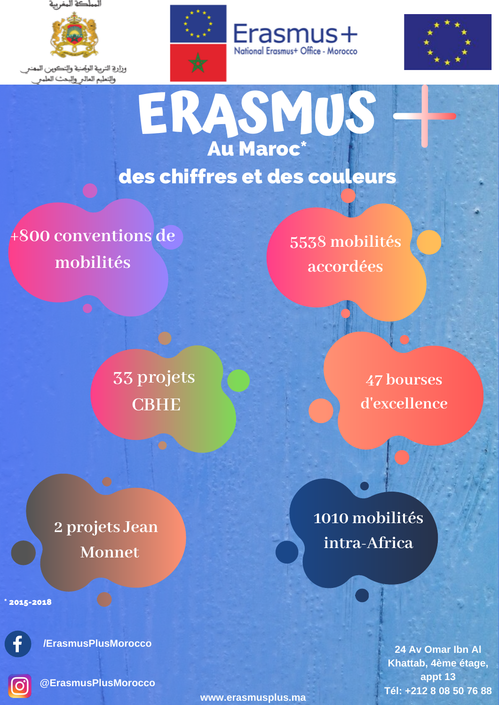



وزارة التربية الوصنية والتكوين الممنر والتمليم المالر والبحث الملمر







**ERASMUS** Au Maroc\* des chiffres et des couleurs

**+800 conventions de mobilités**

> **33 projets CBHE**

**2 projets Jean Monnet**

\* 2015-2018



**/ErasmusPlusMorocco**

**@ErasmusPlusMorocco**

**5538 mobilités accordées**

> **47 bourses d'excellence**

**1010 mobilités intra-Africa**

> **24 Av Omar Ibn Al Khattab, 4ème étage, appt 13 Tél: +212 8 08 50 76 88**

**www.erasmusplus.ma**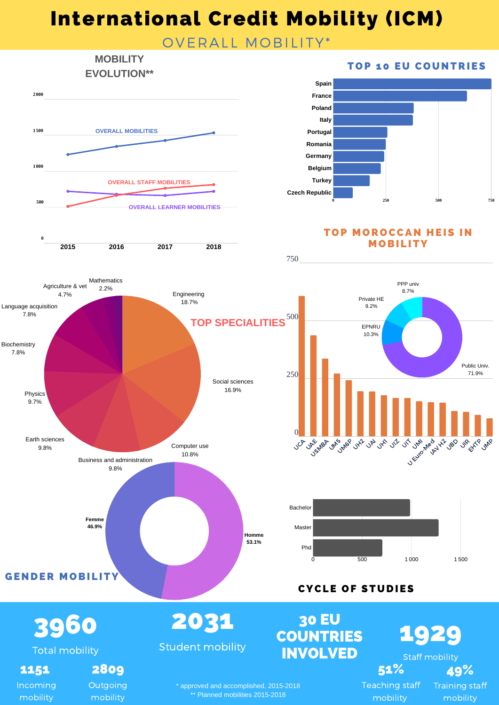# International Credit Mobility (ICM)

### OVERALL MOBILITY\*

#### **MOBILITY EVOLUTION\*\***



**2015 2016 2017 2018**

#### **TOP 10 EU COUNTRIES**



**TOP MOROCCAN HEIS IN MOBILITY** 



750

**Outgoing** mobility

mobility

**0**

\* approved and accomplished, 2015-2018 \*\* Planned mobilities 2015-2018

Teaching staff mobility

Training staff mobility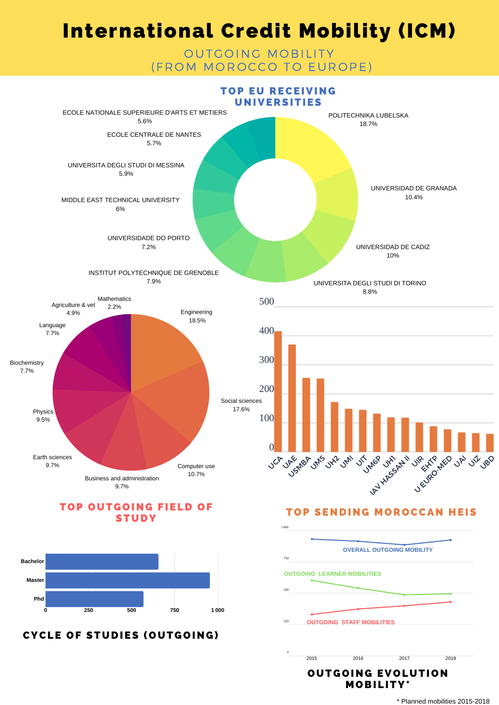## International Credit Mobility (ICM)

#### OUTGOING MOBILITY (FROM MOROCCO TO EUROPE)